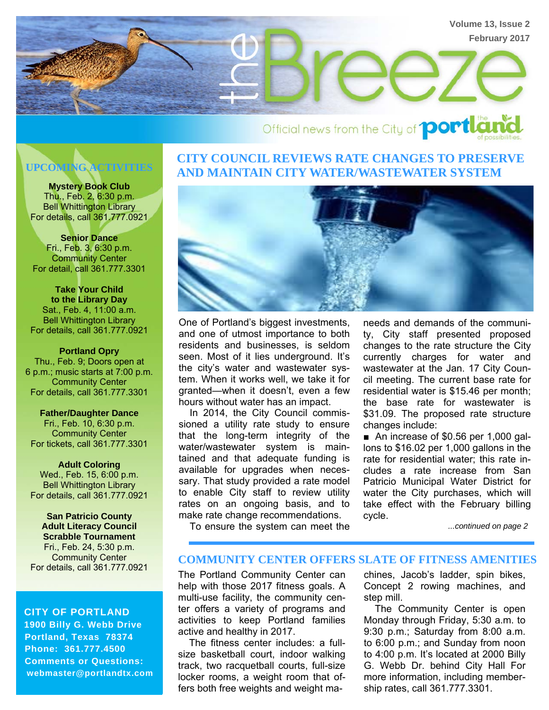

# Official news from the City of **portly**

**Mystery Book Club**  Thu., Feb. 2, 6:30 p.m. Bell Whittington Library For details, call 361.777.0921

**Senior Dance**  Fri., Feb. 3, 6:30 p.m. **Community Center** For detail, call 361.777.3301

**Take Your Child to the Library Day**  Sat., Feb. 4, 11:00 a.m. Bell Whittington Library For details, call 361.777.0921

**Portland Opry**  Thu., Feb. 9; Doors open at 6 p.m.; music starts at 7:00 p.m. Community Center For details, call 361.777.3301

**Father/Daughter Dance**  Fri., Feb. 10, 6:30 p.m. Community Center For tickets, call 361.777.3301

**Adult Coloring**  Wed., Feb. 15, 6:00 p.m. Bell Whittington Library For details, call 361.777.0921

**San Patricio County Adult Literacy Council Scrabble Tournament**  Fri., Feb. 24, 5:30 p.m. Community Center For details, call 361.777.0921

 **CITY OF PORTLAND 1900 Billy G. Webb Drive Portland, Texas 78374 Phone: 361.777.4500 Comments or Questions: webmaster@portlandtx.com** 

## **CITY COUNCIL REVIEWS RATE CHANGES TO PRESERVE AND MAINTAIN CITY WATER/WASTEWATER SYSTEM UPCOMING ACTIVITIES**



One of Portland's biggest investments, and one of utmost importance to both residents and businesses, is seldom seen. Most of it lies underground. It's the city's water and wastewater system. When it works well, we take it for granted—when it doesn't, even a few hours without water has an impact.

 In 2014, the City Council commissioned a utility rate study to ensure that the long-term integrity of the water/wastewater system is maintained and that adequate funding is available for upgrades when necessary. That study provided a rate model to enable City staff to review utility rates on an ongoing basis, and to make rate change recommendations.

needs and demands of the community, City staff presented proposed changes to the rate structure the City currently charges for water and wastewater at the Jan. 17 City Council meeting. The current base rate for residential water is \$15.46 per month; the base rate for wastewater is \$31.09. The proposed rate structure changes include:

■ An increase of \$0.56 per 1,000 gallons to \$16.02 per 1,000 gallons in the rate for residential water; this rate includes a rate increase from San Patricio Municipal Water District for water the City purchases, which will take effect with the February billing cycle.

To ensure the system can meet the

*...continued on page 2*

#### **COMMUNITY CENTER OFFERS SLATE OF FITNESS AMENITIES**

The Portland Community Center can help with those 2017 fitness goals. A multi-use facility, the community center offers a variety of programs and activities to keep Portland families active and healthy in 2017.

 The fitness center includes: a fullsize basketball court, indoor walking track, two racquetball courts, full-size locker rooms, a weight room that offers both free weights and weight machines, Jacob's ladder, spin bikes, Concept 2 rowing machines, and step mill.

 The Community Center is open Monday through Friday, 5:30 a.m. to 9:30 p.m.; Saturday from 8:00 a.m. to 6:00 p.m.; and Sunday from noon to 4:00 p.m. It's located at 2000 Billy G. Webb Dr. behind City Hall For more information, including membership rates, call 361.777.3301.